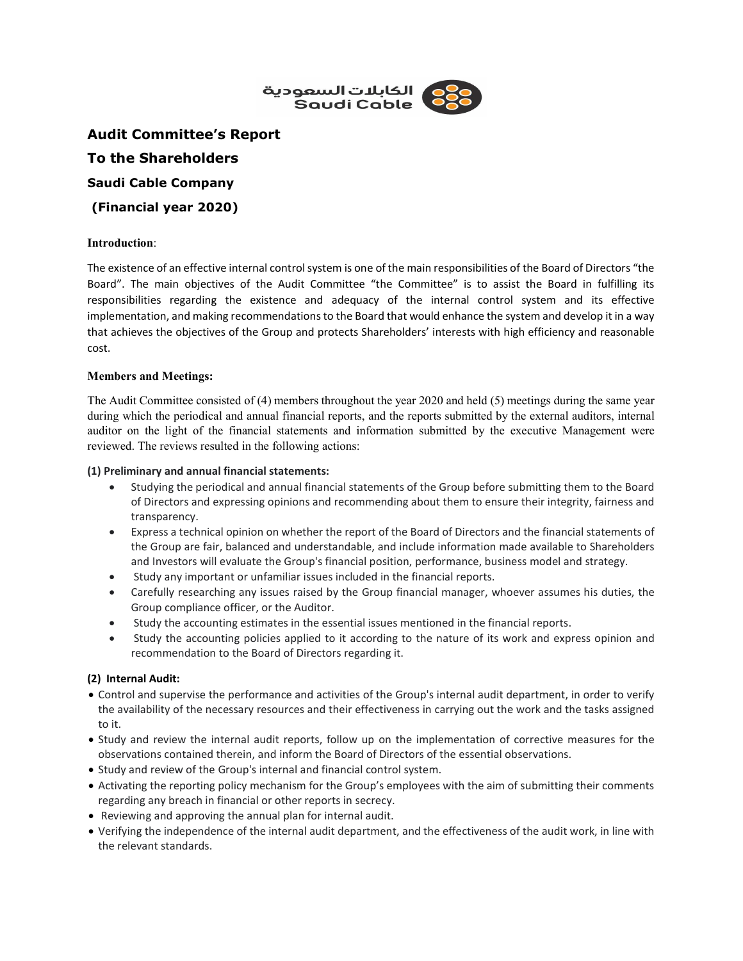

Audit Committee's Report To the Shareholders Saudi Cable Company (Financial year 2020)

#### Introduction:

The existence of an effective internal control system is one of the main responsibilities of the Board of Directors "the Board". The main objectives of the Audit Committee "the Committee" is to assist the Board in fulfilling its responsibilities regarding the existence and adequacy of the internal control system and its effective implementation, and making recommendations to the Board that would enhance the system and develop it in a way that achieves the objectives of the Group and protects Shareholders' interests with high efficiency and reasonable cost.

#### Members and Meetings:

The Audit Committee consisted of (4) members throughout the year 2020 and held (5) meetings during the same year during which the periodical and annual financial reports, and the reports submitted by the external auditors, internal auditor on the light of the financial statements and information submitted by the executive Management were reviewed. The reviews resulted in the following actions:

#### (1) Preliminary and annual financial statements:

- Studying the periodical and annual financial statements of the Group before submitting them to the Board of Directors and expressing opinions and recommending about them to ensure their integrity, fairness and transparency.
- Express a technical opinion on whether the report of the Board of Directors and the financial statements of the Group are fair, balanced and understandable, and include information made available to Shareholders and Investors will evaluate the Group's financial position, performance, business model and strategy.
- Study any important or unfamiliar issues included in the financial reports.
- Carefully researching any issues raised by the Group financial manager, whoever assumes his duties, the Group compliance officer, or the Auditor.
- Study the accounting estimates in the essential issues mentioned in the financial reports.
- Study the accounting policies applied to it according to the nature of its work and express opinion and recommendation to the Board of Directors regarding it.

# (2) Internal Audit:

- Control and supervise the performance and activities of the Group's internal audit department, in order to verify the availability of the necessary resources and their effectiveness in carrying out the work and the tasks assigned to it.
- Study and review the internal audit reports, follow up on the implementation of corrective measures for the observations contained therein, and inform the Board of Directors of the essential observations.
- Study and review of the Group's internal and financial control system.
- Activating the reporting policy mechanism for the Group's employees with the aim of submitting their comments regarding any breach in financial or other reports in secrecy.
- Reviewing and approving the annual plan for internal audit.
- Verifying the independence of the internal audit department, and the effectiveness of the audit work, in line with the relevant standards.